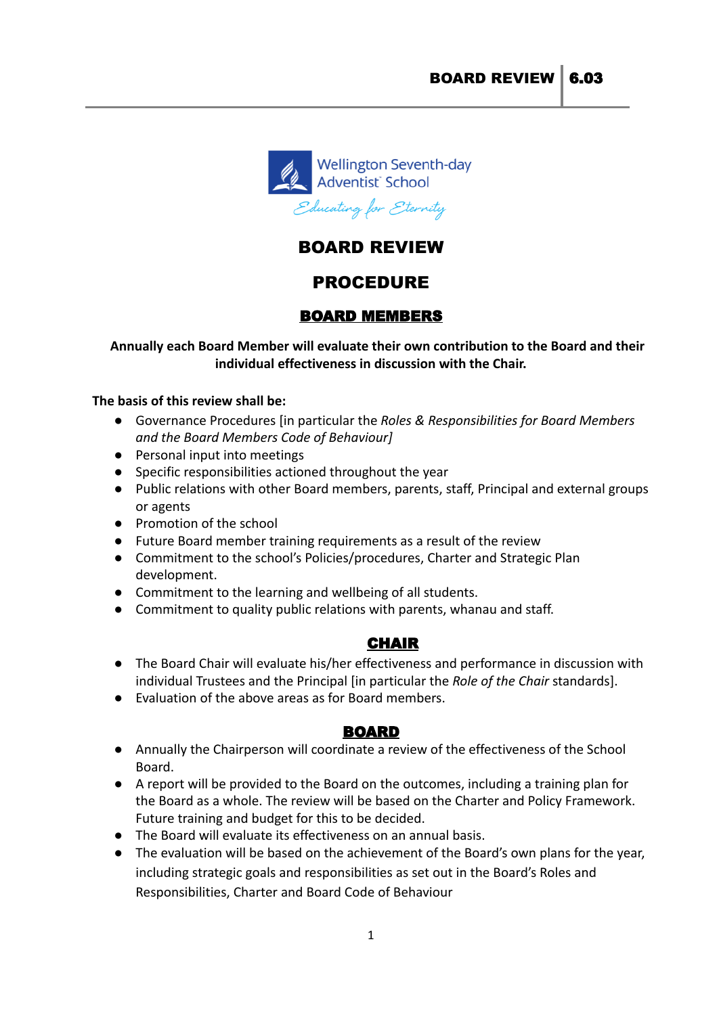

# BOARD REVIEW

# PROCEDURE

# BOARD MEMBERS

### **Annually each Board Member will evaluate their own contribution to the Board and their individual effectiveness in discussion with the Chair.**

#### **The basis of this review shall be:**

- *●* Governance Procedures [in particular the *Roles & Responsibilities for Board Members and the Board Members Code of Behaviour]*
- Personal input into meetings
- Specific responsibilities actioned throughout the year
- Public relations with other Board members, parents, staff, Principal and external groups or agents
- Promotion of the school
- Future Board member training requirements as a result of the review
- Commitment to the school's Policies/procedures, Charter and Strategic Plan development.
- Commitment to the learning and wellbeing of all students.
- Commitment to quality public relations with parents, whanau and staff.

## CHAIR

- The Board Chair will evaluate his/her effectiveness and performance in discussion with individual Trustees and the Principal [in particular the *Role of the Chair* standards].
- Evaluation of the above areas as for Board members.

## BOARD

- Annually the Chairperson will coordinate a review of the effectiveness of the School Board.
- A report will be provided to the Board on the outcomes, including a training plan for the Board as a whole. The review will be based on the Charter and Policy Framework. Future training and budget for this to be decided.
- The Board will evaluate its effectiveness on an annual basis.
- The evaluation will be based on the achievement of the Board's own plans for the year, including strategic goals and responsibilities as set out in the Board's Roles and Responsibilities, Charter and Board Code of Behaviour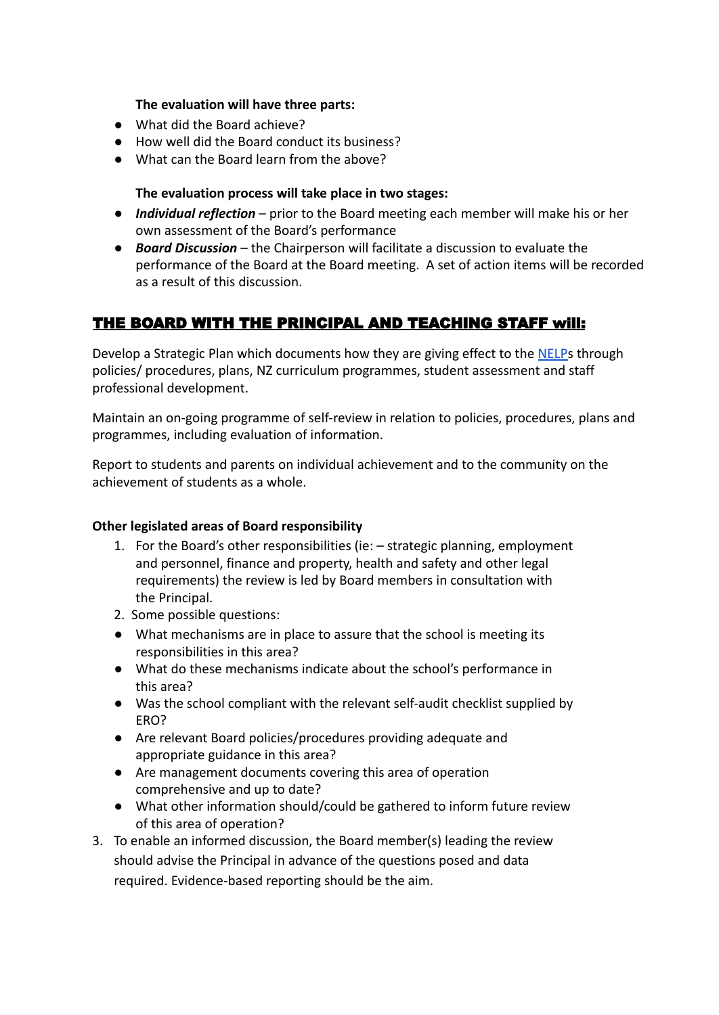### **The evaluation will have three parts:**

- What did the Board achieve?
- How well did the Board conduct its business?
- What can the Board learn from the above?

#### **The evaluation process will take place in two stages:**

- *Individual reflection* prior to the Board meeting each member will make his or her own assessment of the Board's performance
- *Board Discussion* the Chairperson will facilitate a discussion to evaluate the performance of the Board at the Board meeting. A set of action items will be recorded as a result of this discussion.

# THE BOARD WITH THE PRINCIPAL AND TEACHING STAFF will:

Develop a Strategic Plan which documents how they are giving effect to the [NELPs](https://assets.education.govt.nz/public/Documents/NELP-TES-documents/NELP-TES-summary-page.pdf) through policies/ procedures, plans, NZ curriculum programmes, student assessment and staff professional development.

Maintain an on-going programme of self-review in relation to policies, procedures, plans and programmes, including evaluation of information.

Report to students and parents on individual achievement and to the community on the achievement of students as a whole.

#### **Other legislated areas of Board responsibility**

- 1. For the Board's other responsibilities (ie: strategic planning, employment and personnel, finance and property, health and safety and other legal requirements) the review is led by Board members in consultation with the Principal.
- 2. Some possible questions:
- What mechanisms are in place to assure that the school is meeting its responsibilities in this area?
- What do these mechanisms indicate about the school's performance in this area?
- Was the school compliant with the relevant self-audit checklist supplied by ERO?
- Are relevant Board policies/procedures providing adequate and appropriate guidance in this area?
- Are management documents covering this area of operation comprehensive and up to date?
- What other information should/could be gathered to inform future review of this area of operation?
- 3. To enable an informed discussion, the Board member(s) leading the review should advise the Principal in advance of the questions posed and data required. Evidence-based reporting should be the aim.